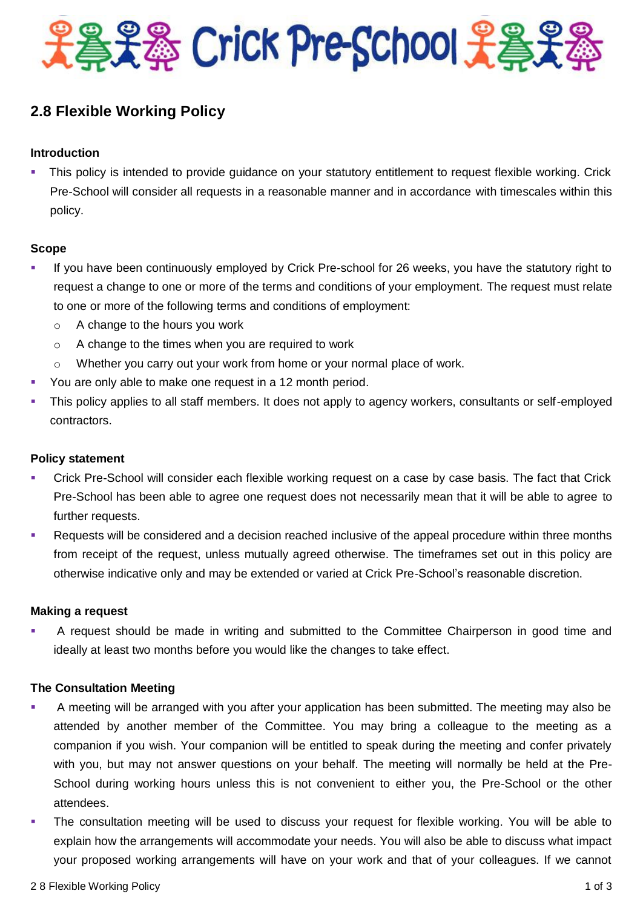

# **2.8 Flexible Working Policy**

### **Introduction**

 This policy is intended to provide guidance on your statutory entitlement to request flexible working. Crick Pre-School will consider all requests in a reasonable manner and in accordance with timescales within this policy.

#### **Scope**

- If you have been continuously employed by Crick Pre-school for 26 weeks, you have the statutory right to request a change to one or more of the terms and conditions of your employment. The request must relate to one or more of the following terms and conditions of employment:
	- $\circ$  A change to the hours you work
	- o A change to the times when you are required to work
	- $\circ$  Whether you carry out your work from home or your normal place of work.
- You are only able to make one request in a 12 month period.
- This policy applies to all staff members. It does not apply to agency workers, consultants or self-employed contractors.

#### **Policy statement**

- Crick Pre-School will consider each flexible working request on a case by case basis. The fact that Crick Pre-School has been able to agree one request does not necessarily mean that it will be able to agree to further requests.
- Requests will be considered and a decision reached inclusive of the appeal procedure within three months from receipt of the request, unless mutually agreed otherwise. The timeframes set out in this policy are otherwise indicative only and may be extended or varied at Crick Pre-School's reasonable discretion.

#### **Making a request**

 A request should be made in writing and submitted to the Committee Chairperson in good time and ideally at least two months before you would like the changes to take effect.

#### **The Consultation Meeting**

- A meeting will be arranged with you after your application has been submitted. The meeting may also be attended by another member of the Committee. You may bring a colleague to the meeting as a companion if you wish. Your companion will be entitled to speak during the meeting and confer privately with you, but may not answer questions on your behalf. The meeting will normally be held at the Pre-School during working hours unless this is not convenient to either you, the Pre-School or the other attendees.
- The consultation meeting will be used to discuss your request for flexible working. You will be able to explain how the arrangements will accommodate your needs. You will also be able to discuss what impact your proposed working arrangements will have on your work and that of your colleagues. If we cannot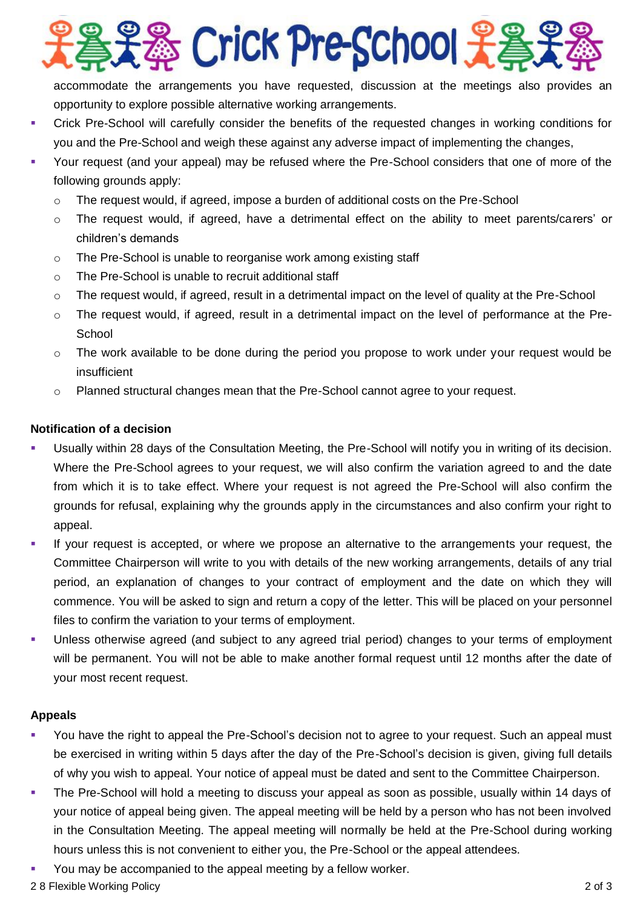

accommodate the arrangements you have requested, discussion at the meetings also provides an opportunity to explore possible alternative working arrangements.

- Crick Pre-School will carefully consider the benefits of the requested changes in working conditions for you and the Pre-School and weigh these against any adverse impact of implementing the changes,
- Your request (and your appeal) may be refused where the Pre-School considers that one of more of the following grounds apply:
	- $\circ$  The request would, if agreed, impose a burden of additional costs on the Pre-School
	- o The request would, if agreed, have a detrimental effect on the ability to meet parents/carers' or children's demands
	- o The Pre-School is unable to reorganise work among existing staff
	- o The Pre-School is unable to recruit additional staff
	- $\circ$  The request would, if agreed, result in a detrimental impact on the level of quality at the Pre-School
	- $\circ$  The request would, if agreed, result in a detrimental impact on the level of performance at the Pre-**School**
	- $\circ$  The work available to be done during the period you propose to work under your request would be insufficient
	- o Planned structural changes mean that the Pre-School cannot agree to your request.

## **Notification of a decision**

- Usually within 28 days of the Consultation Meeting, the Pre-School will notify you in writing of its decision. Where the Pre-School agrees to your request, we will also confirm the variation agreed to and the date from which it is to take effect. Where your request is not agreed the Pre-School will also confirm the grounds for refusal, explaining why the grounds apply in the circumstances and also confirm your right to appeal.
- If your request is accepted, or where we propose an alternative to the arrangements your request, the Committee Chairperson will write to you with details of the new working arrangements, details of any trial period, an explanation of changes to your contract of employment and the date on which they will commence. You will be asked to sign and return a copy of the letter. This will be placed on your personnel files to confirm the variation to your terms of employment.
- Unless otherwise agreed (and subject to any agreed trial period) changes to your terms of employment will be permanent. You will not be able to make another formal request until 12 months after the date of your most recent request.

#### **Appeals**

- You have the right to appeal the Pre-School's decision not to agree to your request. Such an appeal must be exercised in writing within 5 days after the day of the Pre-School's decision is given, giving full details of why you wish to appeal. Your notice of appeal must be dated and sent to the Committee Chairperson.
- The Pre-School will hold a meeting to discuss your appeal as soon as possible, usually within 14 days of your notice of appeal being given. The appeal meeting will be held by a person who has not been involved in the Consultation Meeting. The appeal meeting will normally be held at the Pre-School during working hours unless this is not convenient to either you, the Pre-School or the appeal attendees.
- You may be accompanied to the appeal meeting by a fellow worker.
- 2 8 Flexible Working Policy 2 of 3